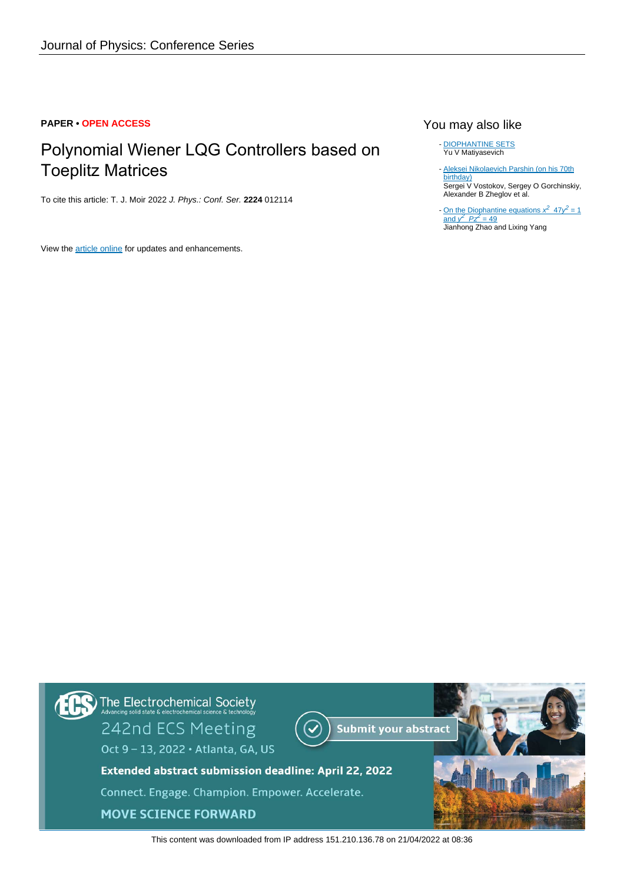## **PAPER • OPEN ACCESS**

## Polynomial Wiener LQG Controllers based on Toeplitz Matrices

To cite this article: T. J. Moir 2022 J. Phys.: Conf. Ser. **2224** 012114

View the [article online](https://doi.org/10.1088/1742-6596/2224/1/012114) for updates and enhancements.

## You may also like

- [DIOPHANTINE SETS](https://iopscience.iop.org/article/10.1070/RM1972v027n05ABEH001386) Yu V Matiyasevich

- [Aleksei Nikolaevich Parshin \(on his 70th](https://iopscience.iop.org/article/10.1070/RM2013v068n01ABEH004827) [birthday\)](https://iopscience.iop.org/article/10.1070/RM2013v068n01ABEH004827) Sergei V Vostokov, Sergey O Gorchinskiy, Alexander B Zheglov et al.

- [On the Diophantine equations](https://iopscience.iop.org/article/10.1088/1757-899X/382/5/052037)  $x^2$  $x^2$  [47](https://iopscience.iop.org/article/10.1088/1757-899X/382/5/052037) $y^2$  [= 1](https://iopscience.iop.org/article/10.1088/1757-899X/382/5/052037) [and](https://iopscience.iop.org/article/10.1088/1757-899X/382/5/052037)  $\sqrt{2}$  $\sqrt{2}$  $\sqrt{2}$   $Pz^2 = 49$  $Pz^2 = 49$ Jianhong Zhao and Lixing Yang



This content was downloaded from IP address 151.210.136.78 on 21/04/2022 at 08:36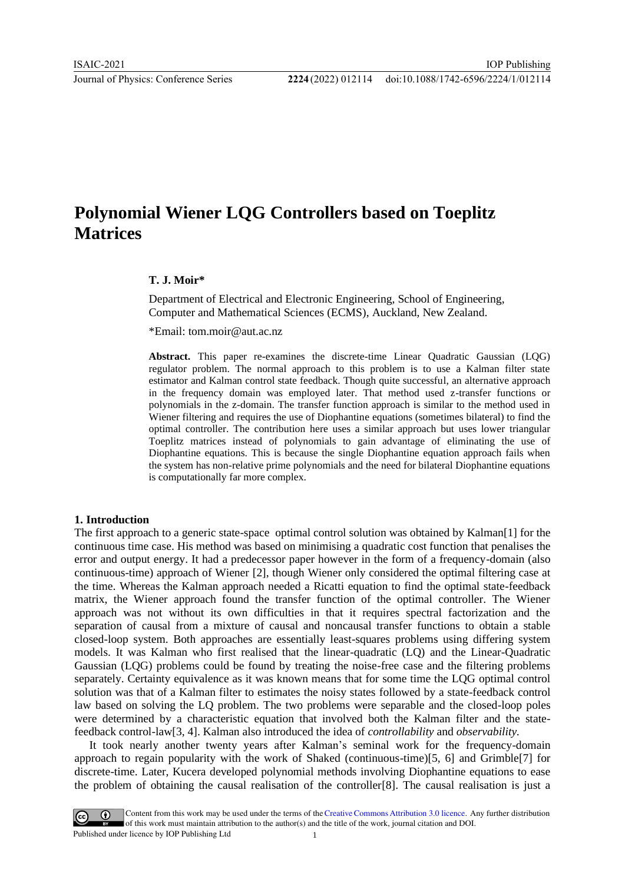# **Polynomial Wiener LQG Controllers based on Toeplitz Matrices**

### **T. J. Moir\***

Department of Electrical and Electronic Engineering, School of Engineering, Computer and Mathematical Sciences (ECMS), Auckland, New Zealand.

\*Email: tom.moir@aut.ac.nz

**Abstract.** This paper re-examines the discrete-time Linear Quadratic Gaussian (LQG) regulator problem. The normal approach to this problem is to use a Kalman filter state estimator and Kalman control state feedback. Though quite successful, an alternative approach in the frequency domain was employed later. That method used z-transfer functions or polynomials in the z-domain. The transfer function approach is similar to the method used in Wiener filtering and requires the use of Diophantine equations (sometimes bilateral) to find the optimal controller. The contribution here uses a similar approach but uses lower triangular Toeplitz matrices instead of polynomials to gain advantage of eliminating the use of Diophantine equations. This is because the single Diophantine equation approach fails when the system has non-relative prime polynomials and the need for bilateral Diophantine equations is computationally far more complex.

### **1. Introduction**

The first approach to a generic state-space optimal control solution was obtained by Kalman[1] for the continuous time case. His method was based on minimising a quadratic cost function that penalises the error and output energy. It had a predecessor paper however in the form of a frequency-domain (also continuous-time) approach of Wiener [2], though Wiener only considered the optimal filtering case at the time. Whereas the Kalman approach needed a Ricatti equation to find the optimal state-feedback matrix, the Wiener approach found the transfer function of the optimal controller. The Wiener approach was not without its own difficulties in that it requires spectral factorization and the separation of causal from a mixture of causal and noncausal transfer functions to obtain a stable closed-loop system. Both approaches are essentially least-squares problems using differing system models. It was Kalman who first realised that the linear-quadratic (LQ) and the Linear-Quadratic Gaussian (LQG) problems could be found by treating the noise-free case and the filtering problems separately. Certainty equivalence as it was known means that for some time the LQG optimal control solution was that of a Kalman filter to estimates the noisy states followed by a state-feedback control law based on solving the LQ problem. The two problems were separable and the closed-loop poles were determined by a characteristic equation that involved both the Kalman filter and the statefeedback control-law[3, 4]. Kalman also introduced the idea of *controllability* and *observability.*

It took nearly another twenty years after Kalman's seminal work for the frequency-domain approach to regain popularity with the work of Shaked (continuous-time)[5, 6] and Grimble[7] for discrete-time. Later, Kucera developed polynomial methods involving Diophantine equations to ease the problem of obtaining the causal realisation of the controller[8]. The causal realisation is just a

Content from this work may be used under the terms of the Creative Commons Attribution 3.0 licence. Any further distribution of this work must maintain attribution to the author(s) and the title of the work, journal citation and DOI. Published under licence by IOP Publishing Ltd 1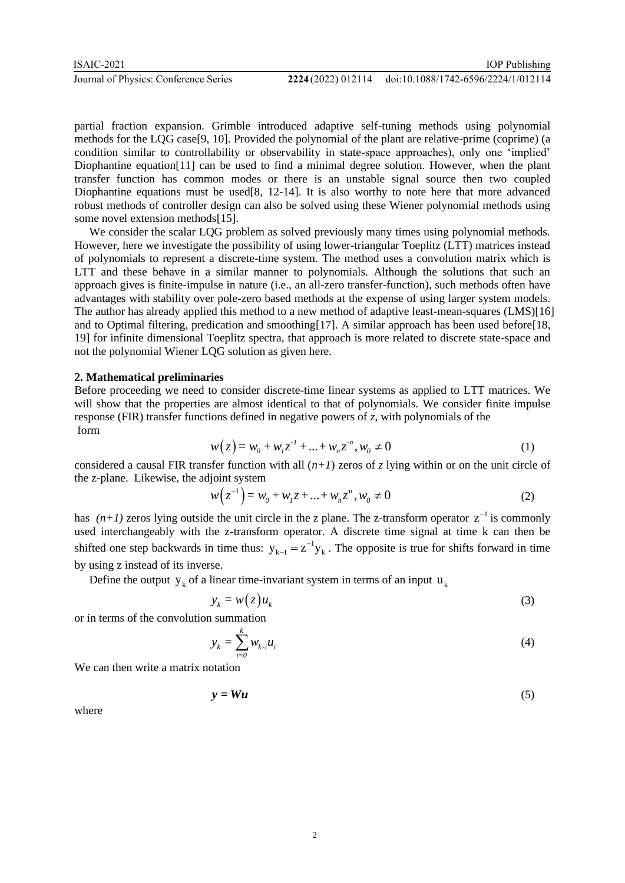partial fraction expansion. Grimble introduced adaptive self-tuning methods using polynomial methods for the LQG case[9, 10]. Provided the polynomial of the plant are relative-prime (coprime) (a condition similar to controllability or observability in state-space approaches), only one 'implied' Diophantine equation[11] can be used to find a minimal degree solution. However, when the plant transfer function has common modes or there is an unstable signal source then two coupled Diophantine equations must be used[8, 12-14]. It is also worthy to note here that more advanced robust methods of controller design can also be solved using these Wiener polynomial methods using some novel extension methods[15].

We consider the scalar LQG problem as solved previously many times using polynomial methods. However, here we investigate the possibility of using lower-triangular Toeplitz (LTT) matrices instead of polynomials to represent a discrete-time system. The method uses a convolution matrix which is LTT and these behave in a similar manner to polynomials. Although the solutions that such an approach gives is finite-impulse in nature (i.e., an all-zero transfer-function), such methods often have advantages with stability over pole-zero based methods at the expense of using larger system models. The author has already applied this method to a new method of adaptive least-mean-squares (LMS)[16] and to Optimal filtering, predication and smoothing[17]. A similar approach has been used before[18, 19] for infinite dimensional Toeplitz spectra, that approach is more related to discrete state-space and not the polynomial Wiener LQG solution as given here.

#### **2. Mathematical preliminaries**

Before proceeding we need to consider discrete-time linear systems as applied to LTT matrices. We will show that the properties are almost identical to that of polynomials. We consider finite impulse response (FIR) transfer functions defined in negative powers of *z*, with polynomials of the form

$$
w(z) = w_0 + w_1 z^{1} + \dots + w_n z^{n}, w_0 \neq 0
$$
 (1)

considered a causal FIR transfer function with all  $(n+1)$  zeros of *z* lying within or on the unit circle of the z-plane. Likewise, the adjoint system

$$
w(z^{-1}) = w_0 + w_1 z + \dots + w_n z^n, w_0 \neq 0
$$
 (2)

has  $(n+1)$  zeros lying outside the unit circle in the z plane. The z-transform operator  $z^{-1}$  is commonly used interchangeably with the z-transform operator. A discrete time signal at time k can then be shifted one step backwards in time thus:  $y_{k-1} = z^{-1}y_k$ . The opposite is true for shifts forward in time by using z instead of its inverse.

Define the output  $y_k$  of a linear time-invariant system in terms of an input  $u_k$ 

$$
y_k = w(z)u_k \tag{3}
$$

or in terms of the convolution summation

$$
y_k = \sum_{i=0}^{k} w_{k-i} u_i \tag{4}
$$

We can then write a matrix notation

$$
y = Wu \tag{5}
$$

where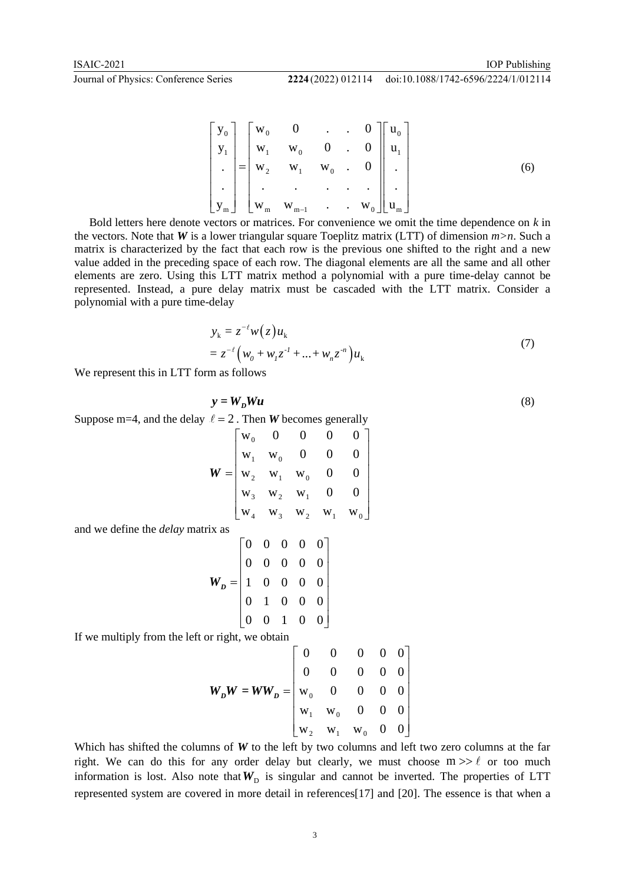**Journal of Physics: Conference Series** 2

doi:10.1088/1742-6596/2224/1/012114

$$
\begin{bmatrix} y_0 \\ y_1 \\ \vdots \\ y_m \end{bmatrix} = \begin{bmatrix} w_0 & 0 & \dots & 0 \\ w_1 & w_0 & 0 & \dots & 0 \\ w_2 & w_1 & w_0 & \dots & 0 \\ \vdots & \vdots & \vdots & \ddots & \vdots \\ w_m & w_{m-1} & \dots & w_0 \end{bmatrix} \begin{bmatrix} u_0 \\ u_1 \\ \vdots \\ u_m \end{bmatrix}
$$
 (6)

Bold letters here denote vectors or matrices. For convenience we omit the time dependence on *k* in the vectors. Note that *W* is a lower triangular square Toeplitz matrix (LTT) of dimension *m>n*. Such a matrix is characterized by the fact that each row is the previous one shifted to the right and a new value added in the preceding space of each row. The diagonal elements are all the same and all other elements are zero. Using this LTT matrix method a polynomial with a pure time-delay cannot be represented. Instead, a pure delay matrix must be cascaded with the LTT matrix. Consider a polynomial with a pure time-delay

$$
y_{k} = z^{-\ell} w(z) u_{k}
$$
  
=  $z^{-\ell} (w_{0} + w_{1} z^{-1} + ... + w_{n} z^{-n}) u_{k}$  (7)

We represent this in LTT form as follows

 $y = W_D W u$ (8)

Suppose m=4, and the delay  $\ell = 2$ . Then *W* becomes generally

| $=\begin{vmatrix} w_0 & 0 & 0 \\ w_1 & w_0 & 0 \\ w_2 & w_1 & w_0 & 0 \\ w_3 & w_2 & w_1 & 0 \\ w_3 & w_3 & w_2 & w_1 & w_0 \end{vmatrix}$ |  |  |  |
|--------------------------------------------------------------------------------------------------------------------------------------------|--|--|--|
|                                                                                                                                            |  |  |  |

and we define the *delay* matrix as

$$
\mathbf{W}_D = \begin{bmatrix} 0 & 0 & 0 & 0 & 0 \\ 0 & 0 & 0 & 0 & 0 \\ 1 & 0 & 0 & 0 & 0 \\ 0 & 1 & 0 & 0 & 0 \\ 0 & 0 & 1 & 0 & 0 \end{bmatrix}
$$

If we multiply from the left or right, we obtain

$$
W_D W = WW_D = \begin{bmatrix} 0 & 0 & 0 & 0 & 0 \\ 0 & 0 & 0 & 0 & 0 \\ w_0 & 0 & 0 & 0 & 0 \\ w_1 & w_0 & 0 & 0 & 0 \\ w_2 & w_1 & w_0 & 0 & 0 \end{bmatrix}
$$

Which has shifted the columns of *W* to the left by two columns and left two zero columns at the far right. We can do this for any order delay but clearly, we must choose  $m \gg \ell$  or too much information is lost. Also note that  $W<sub>D</sub>$  is singular and cannot be inverted. The properties of LTT represented system are covered in more detail in references[17] and [20]. The essence is that when a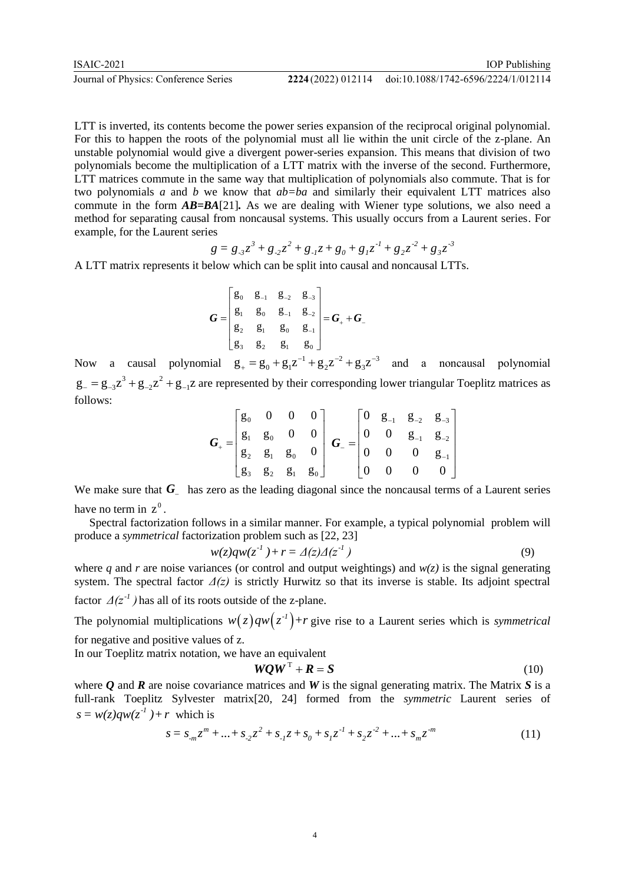IOP Publishing doi:10.1088/1742-6596/2224/1/012114

LTT is inverted, its contents become the power series expansion of the reciprocal original polynomial. For this to happen the roots of the polynomial must all lie within the unit circle of the z-plane. An unstable polynomial would give a divergent power-series expansion. This means that division of two polynomials become the multiplication of a LTT matrix with the inverse of the second. Furthermore, LTT matrices commute in the same way that multiplication of polynomials also commute. That is for

two polynomials *a* and *b* we know that *ab=ba* and similarly their equivalent LTT matrices also commute in the form *AB=BA*[21]*.* As we are dealing with Wiener type solutions, we also need a method for separating causal from noncausal systems. This usually occurs from a Laurent series. For example, for the Laurent series

$$
g = g_{.3}z^3 + g_{.2}z^2 + g_{.1}z + g_0 + g_1z^{-1} + g_2z^{-2} + g_3z^{-3}
$$

A LTT matrix represents it below which can be split into causal and noncausal LTTs.

$$
G = \begin{bmatrix} g_0 & g_{-1} & g_{-2} & g_{-3} \\ g_1 & g_0 & g_{-1} & g_{-2} \\ g_2 & g_1 & g_0 & g_{-1} \\ g_3 & g_2 & g_1 & g_0 \end{bmatrix} = G_+ + G_-
$$

Now a causal polynomial  $g_+ = g_0 + g_1 z^{-1} + g_2 z^{-2} + g_3 z^{-3}$  and a noncausal polynomial  $g_{-} = g_{-3}z^3 + g_{-2}z^2 + g_{-1}z$  are represented by their corresponding lower triangular Toeplitz matrices as follows:

$$
\boldsymbol{G}_{+} = \begin{bmatrix} g_0 & 0 & 0 & 0 \\ g_1 & g_0 & 0 & 0 \\ g_2 & g_1 & g_0 & 0 \\ g_3 & g_2 & g_1 & g_0 \end{bmatrix} \quad \boldsymbol{G}_{-} = \begin{bmatrix} 0 & g_{-1} & g_{-2} & g_{-3} \\ 0 & 0 & g_{-1} & g_{-2} \\ 0 & 0 & 0 & g_{-1} \\ 0 & 0 & 0 & 0 \end{bmatrix}
$$

We make sure that  $G_{-}$  has zero as the leading diagonal since the noncausal terms of a Laurent series have no term in  $z^0$ .

Spectral factorization follows in a similar manner. For example, a typical polynomial problem will produce a *symmetrical* factorization problem such as [22, 23]

$$
w(z)qw(z^{-1}) + r = \Delta(z)\Delta(z^{-1})
$$
\n(9)

where *q* and *r* are noise variances (or control and output weightings) and  $w(z)$  is the signal generating system. The spectral factor  $\Delta(z)$  is strictly Hurwitz so that its inverse is stable. Its adjoint spectral factor  $\Delta(z^{-1})$  has all of its roots outside of the z-plane.

The polynomial multiplications  $w(z)qw(z^{-1})+r$  give rise to a Laurent series which is *symmetrical* for negative and positive values of z.

In our Toeplitz matrix notation, we have an equivalent

$$
WQWT + R = S \tag{10}
$$

where *Q* and *R* are noise covariance matrices and *W* is the signal generating matrix. The Matrix *S* is a full-rank Toeplitz Sylvester matrix[20, 24] formed from the *symmetric* Laurent series of  $s = w(z)qw(z^{-1}) + r$  which is

$$
s = s_{m}z^{m} + \dots + s_{2}z^{2} + s_{1}z + s_{0} + s_{1}z^{1} + s_{2}z^{2} + \dots + s_{m}z^{m}
$$
\n(11)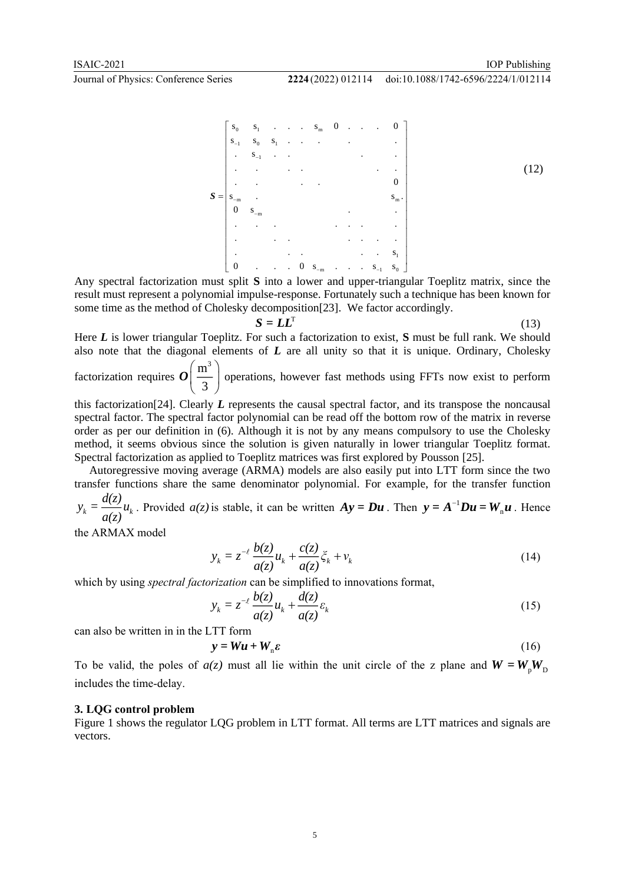

Any spectral factorization must split **S** into a lower and upper-triangular Toeplitz matrix, since the result must represent a polynomial impulse-response. Fortunately such a technique has been known for some time as the method of Cholesky decomposition[23]. We factor accordingly.

$$
= {\boldsymbol{L}} {\boldsymbol{L}}^{\mathrm{T}}
$$

*S <sup>=</sup> LL*

$$
(13)
$$

Here *L* is lower triangular Toeplitz. For such a factorization to exist, *S* must be full rank. We should also note that the diagonal elements of *L* are all unity so that it is unique. Ordinary, Cholesky

factorization requires  $\mathrm{m}^3$  $\left(\frac{\text{m}^3}{3}\right)$  $\mathcal{O}(\frac{m}{\epsilon})$  operations, however fast methods using FFTs now exist to perform

this factorization[24]. Clearly *L* represents the causal spectral factor, and its transpose the noncausal spectral factor. The spectral factor polynomial can be read off the bottom row of the matrix in reverse order as per our definition in (6). Although it is not by any means compulsory to use the Cholesky method, it seems obvious since the solution is given naturally in lower triangular Toeplitz format. Spectral factorization as applied to Toeplitz matrices was first explored by Pousson [25].

Autoregressive moving average (ARMA) models are also easily put into LTT form since the two transfer functions share the same denominator polynomial. For example, for the transfer function *d(z)*

*k k*  $y_k = \frac{u}{a(z)}$ . Provided  $a(z)$  is stable, it can be written  $Ay = Du$ . Then  $y = A^{-1}$  $y = A^{-1}Du = W_{n}u$ . Hence

the ARMAX model

$$
y_k = z^{-\ell} \frac{b(z)}{a(z)} u_k + \frac{c(z)}{a(z)} \xi_k + v_k
$$
\n(14)

which by using *spectral factorization* can be simplified to innovations format,

$$
y_k = z^{-\ell} \frac{b(z)}{a(z)} u_k + \frac{d(z)}{a(z)} \varepsilon_k
$$
 (15)

can also be written in in the LTT form

$$
y = Wu + Wn \varepsilon
$$
 (16)

To be valid, the poles of  $a(z)$  must all lie within the unit circle of the z plane and  $W = W_{p}W_{p}$ includes the time-delay.

#### **3. LQG control problem**

Figure 1 shows the regulator LQG problem in LTT format. All terms are LTT matrices and signals are vectors.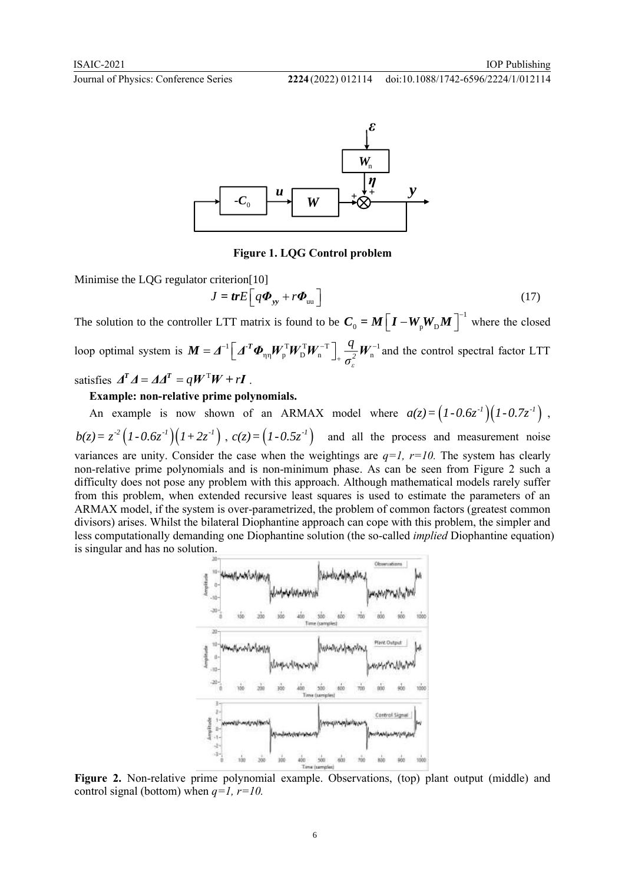doi:10.1088/1742-6596/2224/1/012114



**Figure 1. LQG Control problem**

Minimise the LQG regulator criterion[10]

$$
J = trE \Big[ q \boldsymbol{\Phi}_{yy} + r \boldsymbol{\Phi}_{uu} \Big] \tag{17}
$$

The solution to the controller LTT matrix is found to be  $C_0 = M \left[ I - W_p W_p M \right]^{-1}$  $C_0 = M \left[ I - W_p W_p M \right]^{-1}$  where the closed loop optimal system is  $M = \underline{A}^{-1} \left[ \underline{A}^{-T} \Phi_{nn} \underline{W}_{n}^{T} \underline{W}_{n}^{-T} \right] \frac{q}{r^2} \underline{W}_{n}^{-1}$  $\int_{\mathcal{P}}^{\mathcal{T}} W_{\mathcal{D}}^{\mathcal{T}} W_{\mathcal{n}}^{-\mathcal{T}} \Big]_{+} \frac{q}{\sigma_{\varepsilon}^2} W_{\mathcal{n}}$ *q σ*  $\begin{bmatrix} -1 \end{bmatrix}$   $\begin{bmatrix} A^T \boldsymbol{\Phi} & \boldsymbol{W}^T \boldsymbol{W}^T \boldsymbol{W}^{-T} \end{bmatrix}$   $\begin{bmatrix} \frac{q}{M} & \boldsymbol{W}^{-1} \end{bmatrix}$  and  $\bm{M} = \bm{\varDelta}^{-1} \Big[ \bm{\varDelta}^{-T} \bm{\varPhi}_{\eta\eta} \bm{W}_{\text{p}}^{\text{T}} \bm{W}_{\text{p}}^{\text{T}} \bm{W}_{\text{n}}^{-\text{T}} \Big]_{+} \frac{q}{\sigma_{\text{c}}^2} \bm{W}_{\text{n}}^{-1}$  and and the control spectral factor LTT

satisfies  $\boldsymbol{\Delta}^T \boldsymbol{\Delta} = \boldsymbol{\Delta} \boldsymbol{\Delta}^T = \boldsymbol{q} \boldsymbol{W}^T \boldsymbol{W} + r \boldsymbol{I}$ .

**Example: non-relative prime polynomials.**

An example is now shown of an ARMAX model where  $a(z) = (1 - 0.6z^{-1})(1 - 0.7z^{-1})$ ,  $b(z) = z^{-2} (1 - 0.6z^{-1})(1 + 2z^{-1})$ ,  $c(z) = (1 - 0.5z^{-1})$  and all the process and measurement noise variances are unity. Consider the case when the weightings are  $q=1$ ,  $r=10$ . The system has clearly non-relative prime polynomials and is non-minimum phase. As can be seen from Figure 2 such a

difficulty does not pose any problem with this approach. Although mathematical models rarely suffer from this problem, when extended recursive least squares is used to estimate the parameters of an ARMAX model, if the system is over-parametrized, the problem of common factors (greatest common divisors) arises. Whilst the bilateral Diophantine approach can cope with this problem, the simpler and less computationally demanding one Diophantine solution (the so-called *implied* Diophantine equation) is singular and has no solution.



**Figure 2.** Non-relative prime polynomial example. Observations, (top) plant output (middle) and control signal (bottom) when *q=1, r=10.*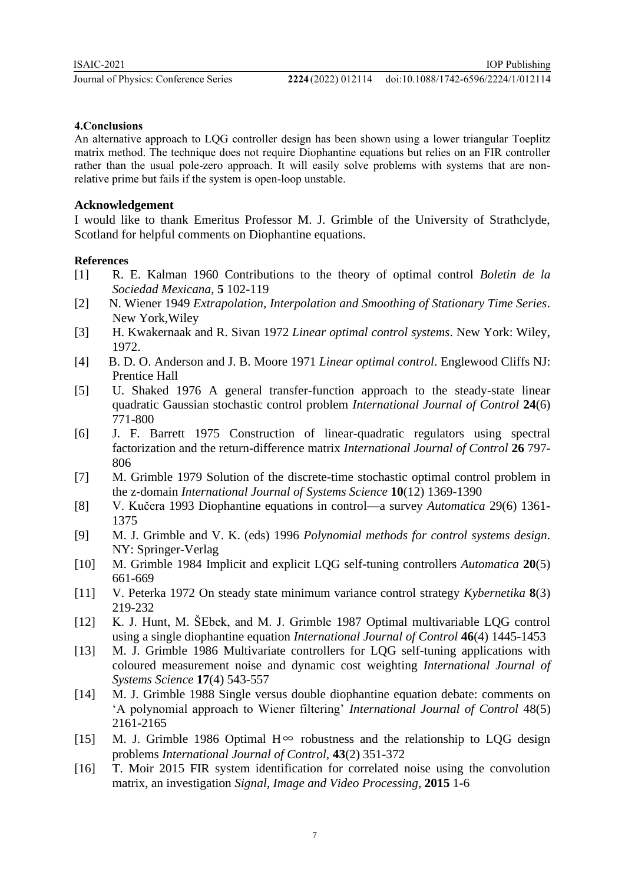#### **4.Conclusions**

An alternative approach to LQG controller design has been shown using a lower triangular Toeplitz matrix method. The technique does not require Diophantine equations but relies on an FIR controller rather than the usual pole-zero approach. It will easily solve problems with systems that are nonrelative prime but fails if the system is open-loop unstable.

## **Acknowledgement**

I would like to thank Emeritus Professor M. J. Grimble of the University of Strathclyde, Scotland for helpful comments on Diophantine equations.

#### **References**

- [1] R. E. Kalman 1960 Contributions to the theory of optimal control *Boletin de la Sociedad Mexicana,* **5** 102-119
- [2] N. Wiener 1949 *Extrapolation, Interpolation and Smoothing of Stationary Time Series*. New York,Wiley
- [3] H. Kwakernaak and R. Sivan 1972 *Linear optimal control systems*. New York: Wiley, 1972.
- [4] B. D. O. Anderson and J. B. Moore 1971 *Linear optimal control*. Englewood Cliffs NJ: Prentice Hall
- [5] U. Shaked 1976 A general transfer-function approach to the steady-state linear quadratic Gaussian stochastic control problem *International Journal of Control* **24**(6) 771-800
- [6] J. F. Barrett 1975 Construction of linear-quadratic regulators using spectral factorization and the return-difference matrix *International Journal of Control* **26** 797- 806
- [7] M. Grimble 1979 Solution of the discrete-time stochastic optimal control problem in the z-domain *International Journal of Systems Science* **10**(12) 1369-1390
- [8] V. Kučera 1993 Diophantine equations in control—a survey *Automatica* 29(6) 1361- 1375
- [9] M. J. Grimble and V. K. (eds) 1996 *Polynomial methods for control systems design*. NY: Springer-Verlag
- [10] M. Grimble 1984 Implicit and explicit LQG self-tuning controllers *Automatica* **20**(5) 661-669
- [11] V. Peterka 1972 On steady state minimum variance control strategy *Kybernetika* **8**(3) 219-232
- [12] K. J. Hunt, M. ŠEbek, and M. J. Grimble 1987 Optimal multivariable LQG control using a single diophantine equation *International Journal of Control* **46**(4) 1445-1453
- [13] M. J. Grimble 1986 Multivariate controllers for LQG self-tuning applications with coloured measurement noise and dynamic cost weighting *International Journal of Systems Science* **17**(4) 543-557
- [14] M. J. Grimble 1988 Single versus double diophantine equation debate: comments on 'A polynomial approach to Wiener filtering' *International Journal of Control* 48(5) 2161-2165
- [15] M. J. Grimble 1986 Optimal  $H^{\infty}$  robustness and the relationship to LQG design problems *International Journal of Control,* **43**(2) 351-372
- [16] T. Moir 2015 FIR system identification for correlated noise using the convolution matrix, an investigation *Signal, Image and Video Processing,* **2015** 1-6